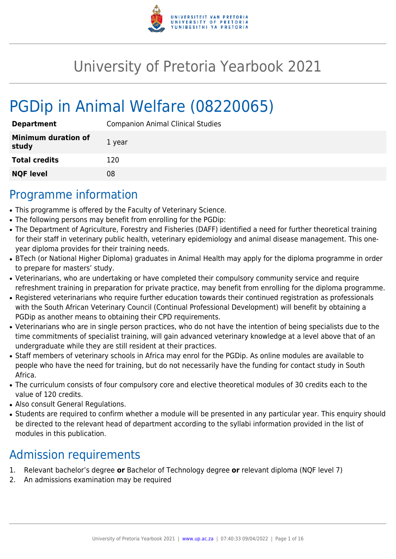

# University of Pretoria Yearbook 2021

# PGDip in Animal Welfare (08220065)

| <b>Department</b>                   | <b>Companion Animal Clinical Studies</b> |
|-------------------------------------|------------------------------------------|
| <b>Minimum duration of</b><br>study | 1 year                                   |
| <b>Total credits</b>                | 120                                      |
| <b>NQF level</b>                    | 08                                       |

## Programme information

- This programme is offered by the Faculty of Veterinary Science.
- The following persons may benefit from enrolling for the PGDip:
- The Department of Agriculture, Forestry and Fisheries (DAFF) identified a need for further theoretical training for their staff in veterinary public health, veterinary epidemiology and animal disease management. This oneyear diploma provides for their training needs.
- BTech (or National Higher Diploma) graduates in Animal Health may apply for the diploma programme in order to prepare for masters' study.
- Veterinarians, who are undertaking or have completed their compulsory community service and require refreshment training in preparation for private practice, may benefit from enrolling for the diploma programme.
- Registered veterinarians who require further education towards their continued registration as professionals with the South African Veterinary Council (Continual Professional Development) will benefit by obtaining a PGDip as another means to obtaining their CPD requirements.
- Veterinarians who are in single person practices, who do not have the intention of being specialists due to the time commitments of specialist training, will gain advanced veterinary knowledge at a level above that of an undergraduate while they are still resident at their practices.
- Staff members of veterinary schools in Africa may enrol for the PGDip. As online modules are available to people who have the need for training, but do not necessarily have the funding for contact study in South Africa.
- The curriculum consists of four compulsory core and elective theoretical modules of 30 credits each to the value of 120 credits.
- Also consult General Regulations.
- Students are required to confirm whether a module will be presented in any particular year. This enquiry should be directed to the relevant head of department according to the syllabi information provided in the list of modules in this publication.

## Admission requirements

- 1. Relevant bachelor's degree **or** Bachelor of Technology degree **or** relevant diploma (NQF level 7)
- 2. An admissions examination may be required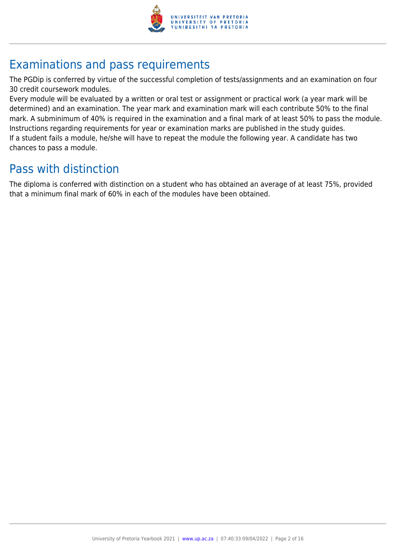

## Examinations and pass requirements

The PGDip is conferred by virtue of the successful completion of tests/assignments and an examination on four 30 credit coursework modules.

Every module will be evaluated by a written or oral test or assignment or practical work (a year mark will be determined) and an examination. The year mark and examination mark will each contribute 50% to the final mark. A subminimum of 40% is required in the examination and a final mark of at least 50% to pass the module. Instructions regarding requirements for year or examination marks are published in the study guides. If a student fails a module, he/she will have to repeat the module the following year. A candidate has two chances to pass a module.

## Pass with distinction

The diploma is conferred with distinction on a student who has obtained an average of at least 75%, provided that a minimum final mark of 60% in each of the modules have been obtained.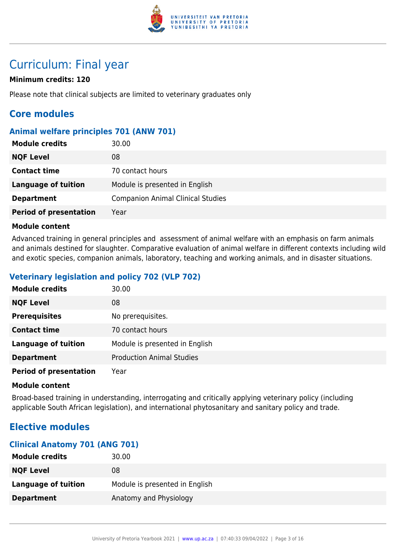

## Curriculum: Final year

## **Minimum credits: 120**

Please note that clinical subjects are limited to veterinary graduates only

## **Core modules**

## **Animal welfare principles 701 (ANW 701)**

| <b>Module credits</b>         | 30.00                                    |
|-------------------------------|------------------------------------------|
| <b>NQF Level</b>              | 08                                       |
| <b>Contact time</b>           | 70 contact hours                         |
| <b>Language of tuition</b>    | Module is presented in English           |
| <b>Department</b>             | <b>Companion Animal Clinical Studies</b> |
| <b>Period of presentation</b> | Year                                     |

#### **Module content**

Advanced training in general principles and assessment of animal welfare with an emphasis on farm animals and animals destined for slaughter. Comparative evaluation of animal welfare in different contexts including wild and exotic species, companion animals, laboratory, teaching and working animals, and in disaster situations.

## **Veterinary legislation and policy 702 (VLP 702)**

| <b>Module credits</b>         | 30.00                            |
|-------------------------------|----------------------------------|
| <b>NQF Level</b>              | 08                               |
| <b>Prerequisites</b>          | No prerequisites.                |
| <b>Contact time</b>           | 70 contact hours                 |
| <b>Language of tuition</b>    | Module is presented in English   |
| <b>Department</b>             | <b>Production Animal Studies</b> |
| <b>Period of presentation</b> | Year                             |

#### **Module content**

Broad-based training in understanding, interrogating and critically applying veterinary policy (including applicable South African legislation), and international phytosanitary and sanitary policy and trade.

## **Elective modules**

## **Clinical Anatomy 701 (ANG 701)**

| <b>Module credits</b> | 30.00                          |
|-----------------------|--------------------------------|
| <b>NQF Level</b>      | 08                             |
| Language of tuition   | Module is presented in English |
| <b>Department</b>     | Anatomy and Physiology         |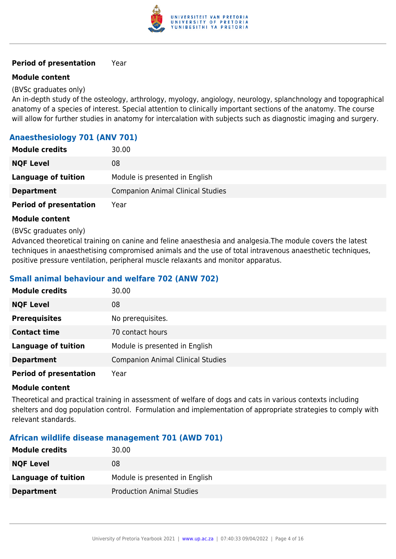

#### **Module content**

#### (BVSc graduates only)

An in-depth study of the osteology, arthrology, myology, angiology, neurology, splanchnology and topographical anatomy of a species of interest. Special attention to clinically important sections of the anatomy. The course will allow for further studies in anatomy for intercalation with subjects such as diagnostic imaging and surgery.

## **Anaesthesiology 701 (ANV 701)**

| <b>Module credits</b>         | 30.00                                    |
|-------------------------------|------------------------------------------|
| <b>NQF Level</b>              | 08                                       |
| Language of tuition           | Module is presented in English           |
| <b>Department</b>             | <b>Companion Animal Clinical Studies</b> |
| <b>Period of presentation</b> | Year                                     |

#### **Module content**

#### (BVSc graduates only)

Advanced theoretical training on canine and feline anaesthesia and analgesia.The module covers the latest techniques in anaesthetising compromised animals and the use of total intravenous anaesthetic techniques, positive pressure ventilation, peripheral muscle relaxants and monitor apparatus.

### **Small animal behaviour and welfare 702 (ANW 702)**

| <b>Module credits</b>         | 30.00                                    |
|-------------------------------|------------------------------------------|
| <b>NQF Level</b>              | 08                                       |
| <b>Prerequisites</b>          | No prerequisites.                        |
| <b>Contact time</b>           | 70 contact hours                         |
| <b>Language of tuition</b>    | Module is presented in English           |
| <b>Department</b>             | <b>Companion Animal Clinical Studies</b> |
| <b>Period of presentation</b> | Year                                     |

#### **Module content**

Theoretical and practical training in assessment of welfare of dogs and cats in various contexts including shelters and dog population control. Formulation and implementation of appropriate strategies to comply with relevant standards.

#### **African wildlife disease management 701 (AWD 701)**

| <b>Module credits</b>      | 30.00                            |
|----------------------------|----------------------------------|
| <b>NQF Level</b>           | 08                               |
| <b>Language of tuition</b> | Module is presented in English   |
| <b>Department</b>          | <b>Production Animal Studies</b> |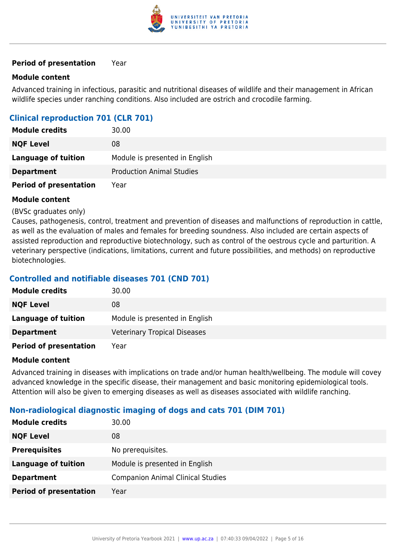

#### **Module content**

Advanced training in infectious, parasitic and nutritional diseases of wildlife and their management in African wildlife species under ranching conditions. Also included are ostrich and crocodile farming.

## **Clinical reproduction 701 (CLR 701)**

| <b>Module credits</b>         | 30.00                            |
|-------------------------------|----------------------------------|
| <b>NQF Level</b>              | 08                               |
| <b>Language of tuition</b>    | Module is presented in English   |
| <b>Department</b>             | <b>Production Animal Studies</b> |
| <b>Period of presentation</b> | Year                             |

#### **Module content**

#### (BVSc graduates only)

Causes, pathogenesis, control, treatment and prevention of diseases and malfunctions of reproduction in cattle, as well as the evaluation of males and females for breeding soundness. Also included are certain aspects of assisted reproduction and reproductive biotechnology, such as control of the oestrous cycle and parturition. A veterinary perspective (indications, limitations, current and future possibilities, and methods) on reproductive biotechnologies.

#### **Controlled and notifiable diseases 701 (CND 701)**

| <b>Module credits</b>         | 30.00                               |
|-------------------------------|-------------------------------------|
| <b>NQF Level</b>              | 08                                  |
| <b>Language of tuition</b>    | Module is presented in English      |
| <b>Department</b>             | <b>Veterinary Tropical Diseases</b> |
| <b>Period of presentation</b> | Year                                |

#### **Module content**

Advanced training in diseases with implications on trade and/or human health/wellbeing. The module will covey advanced knowledge in the specific disease, their management and basic monitoring epidemiological tools. Attention will also be given to emerging diseases as well as diseases associated with wildlife ranching.

## **Non-radiological diagnostic imaging of dogs and cats 701 (DIM 701)**

| <b>Module credits</b>         | 30.00                                    |
|-------------------------------|------------------------------------------|
| <b>NQF Level</b>              | 08                                       |
| <b>Prerequisites</b>          | No prerequisites.                        |
| <b>Language of tuition</b>    | Module is presented in English           |
| <b>Department</b>             | <b>Companion Animal Clinical Studies</b> |
| <b>Period of presentation</b> | Year                                     |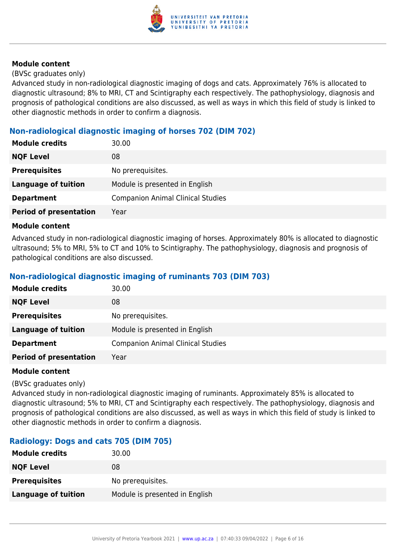

#### (BVSc graduates only)

Advanced study in non-radiological diagnostic imaging of dogs and cats. Approximately 76% is allocated to diagnostic ultrasound; 8% to MRI, CT and Scintigraphy each respectively. The pathophysiology, diagnosis and prognosis of pathological conditions are also discussed, as well as ways in which this field of study is linked to other diagnostic methods in order to confirm a diagnosis.

## **Non-radiological diagnostic imaging of horses 702 (DIM 702)**

| <b>Module credits</b>         | 30.00                                    |
|-------------------------------|------------------------------------------|
| <b>NQF Level</b>              | 08                                       |
| <b>Prerequisites</b>          | No prerequisites.                        |
| Language of tuition           | Module is presented in English           |
| <b>Department</b>             | <b>Companion Animal Clinical Studies</b> |
| <b>Period of presentation</b> | Year                                     |

#### **Module content**

Advanced study in non-radiological diagnostic imaging of horses. Approximately 80% is allocated to diagnostic ultrasound; 5% to MRI, 5% to CT and 10% to Scintigraphy. The pathophysiology, diagnosis and prognosis of pathological conditions are also discussed.

## **Non-radiological diagnostic imaging of ruminants 703 (DIM 703)**

| <b>Module credits</b>         | 30.00                                    |
|-------------------------------|------------------------------------------|
| <b>NQF Level</b>              | 08                                       |
| <b>Prerequisites</b>          | No prerequisites.                        |
| <b>Language of tuition</b>    | Module is presented in English           |
| <b>Department</b>             | <b>Companion Animal Clinical Studies</b> |
| <b>Period of presentation</b> | Year                                     |

#### **Module content**

#### (BVSc graduates only)

Advanced study in non-radiological diagnostic imaging of ruminants. Approximately 85% is allocated to diagnostic ultrasound; 5% to MRI, CT and Scintigraphy each respectively. The pathophysiology, diagnosis and prognosis of pathological conditions are also discussed, as well as ways in which this field of study is linked to other diagnostic methods in order to confirm a diagnosis.

## **Radiology: Dogs and cats 705 (DIM 705)**

| <b>Module credits</b>      | 30.00                          |
|----------------------------|--------------------------------|
| <b>NQF Level</b>           | 08                             |
| <b>Prerequisites</b>       | No prerequisites.              |
| <b>Language of tuition</b> | Module is presented in English |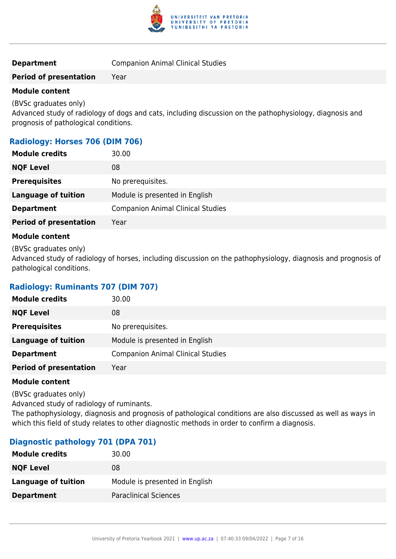

## **Department Companion Animal Clinical Studies**

#### **Period of presentation** Year

#### **Module content**

(BVSc graduates only)

Advanced study of radiology of dogs and cats, including discussion on the pathophysiology, diagnosis and prognosis of pathological conditions.

## **Radiology: Horses 706 (DIM 706)**

| <b>Module credits</b>         | 30.00                                    |
|-------------------------------|------------------------------------------|
| <b>NQF Level</b>              | 08                                       |
| <b>Prerequisites</b>          | No prerequisites.                        |
| <b>Language of tuition</b>    | Module is presented in English           |
| <b>Department</b>             | <b>Companion Animal Clinical Studies</b> |
| <b>Period of presentation</b> | Year                                     |
|                               |                                          |

#### **Module content**

(BVSc graduates only)

Advanced study of radiology of horses, including discussion on the pathophysiology, diagnosis and prognosis of pathological conditions.

## **Radiology: Ruminants 707 (DIM 707)**

| <b>Module credits</b>         | 30.00                                    |
|-------------------------------|------------------------------------------|
| <b>NQF Level</b>              | 08                                       |
| <b>Prerequisites</b>          | No prerequisites.                        |
| <b>Language of tuition</b>    | Module is presented in English           |
| <b>Department</b>             | <b>Companion Animal Clinical Studies</b> |
| <b>Period of presentation</b> | Year                                     |

#### **Module content**

(BVSc graduates only)

Advanced study of radiology of ruminants.

The pathophysiology, diagnosis and prognosis of pathological conditions are also discussed as well as ways in which this field of study relates to other diagnostic methods in order to confirm a diagnosis.

#### **Diagnostic pathology 701 (DPA 701)**

| <b>Module credits</b> | 30.00                          |
|-----------------------|--------------------------------|
| <b>NQF Level</b>      | 08                             |
| Language of tuition   | Module is presented in English |
| <b>Department</b>     | <b>Paraclinical Sciences</b>   |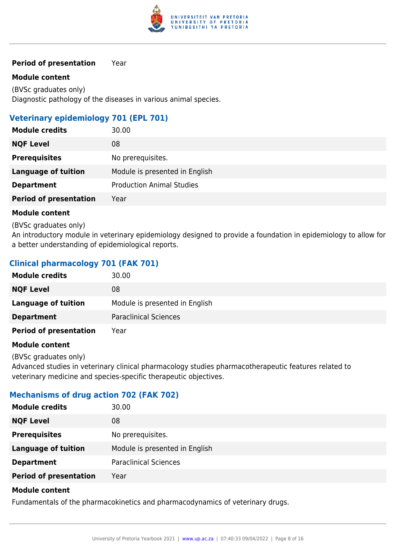

#### **Module content**

(BVSc graduates only) Diagnostic pathology of the diseases in various animal species.

## **Veterinary epidemiology 701 (EPL 701)**

| 30.00                            |
|----------------------------------|
| 08                               |
| No prerequisites.                |
| Module is presented in English   |
| <b>Production Animal Studies</b> |
| Year                             |
|                                  |

#### **Module content**

(BVSc graduates only)

An introductory module in veterinary epidemiology designed to provide a foundation in epidemiology to allow for a better understanding of epidemiological reports.

## **Clinical pharmacology 701 (FAK 701)**

| <b>Module credits</b>         | 30.00                          |
|-------------------------------|--------------------------------|
| <b>NQF Level</b>              | 08                             |
| Language of tuition           | Module is presented in English |
| <b>Department</b>             | <b>Paraclinical Sciences</b>   |
| <b>Period of presentation</b> | Year                           |

#### **Module content**

(BVSc graduates only)

Advanced studies in veterinary clinical pharmacology studies pharmacotherapeutic features related to veterinary medicine and species-specific therapeutic objectives.

## **Mechanisms of drug action 702 (FAK 702)**

| <b>NQF Level</b><br>08                                       |  |
|--------------------------------------------------------------|--|
|                                                              |  |
| <b>Prerequisites</b><br>No prerequisites.                    |  |
| Module is presented in English<br><b>Language of tuition</b> |  |
| <b>Paraclinical Sciences</b><br><b>Department</b>            |  |
| <b>Period of presentation</b><br>Year                        |  |

#### **Module content**

Fundamentals of the pharmacokinetics and pharmacodynamics of veterinary drugs.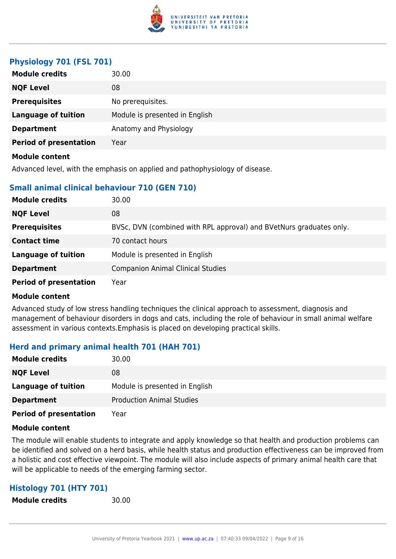

## **Physiology 701 (FSL 701)**

| <b>Module credits</b>         | 30.00                          |
|-------------------------------|--------------------------------|
| <b>NQF Level</b>              | 08                             |
| <b>Prerequisites</b>          | No prerequisites.              |
| <b>Language of tuition</b>    | Module is presented in English |
| <b>Department</b>             | Anatomy and Physiology         |
| <b>Period of presentation</b> | Year                           |
| <b>Module content</b>         |                                |

Advanced level, with the emphasis on applied and pathophysiology of disease.

### **Small animal clinical behaviour 710 (GEN 710)**

| <b>Module credits</b>         | 30.00                                                               |
|-------------------------------|---------------------------------------------------------------------|
| <b>NQF Level</b>              | 08                                                                  |
| <b>Prerequisites</b>          | BVSc, DVN (combined with RPL approval) and BVetNurs graduates only. |
| <b>Contact time</b>           | 70 contact hours                                                    |
| <b>Language of tuition</b>    | Module is presented in English                                      |
| <b>Department</b>             | <b>Companion Animal Clinical Studies</b>                            |
| <b>Period of presentation</b> | Year                                                                |

#### **Module content**

Advanced study of low stress handling techniques the clinical approach to assessment, diagnosis and management of behaviour disorders in dogs and cats, including the role of behaviour in small animal welfare assessment in various contexts.Emphasis is placed on developing practical skills.

## **Herd and primary animal health 701 (HAH 701)**

| <b>Module credits</b>         | 30.00                            |
|-------------------------------|----------------------------------|
| <b>NQF Level</b>              | 08                               |
| <b>Language of tuition</b>    | Module is presented in English   |
| <b>Department</b>             | <b>Production Animal Studies</b> |
| <b>Period of presentation</b> | Year                             |

#### **Module content**

The module will enable students to integrate and apply knowledge so that health and production problems can be identified and solved on a herd basis, while health status and production effectiveness can be improved from a holistic and cost effective viewpoint. The module will also include aspects of primary animal health care that will be applicable to needs of the emerging farming sector.

#### **Histology 701 (HTY 701)**

**Module credits** 30.00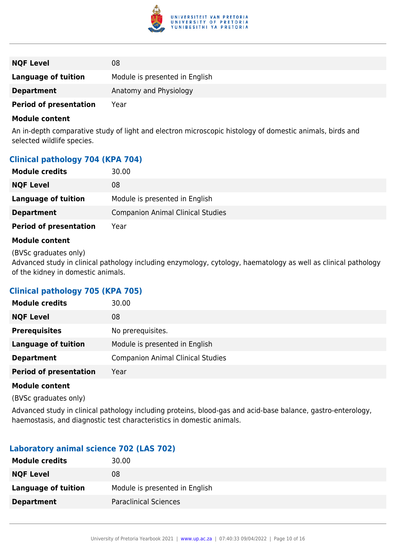

| <b>NQF Level</b>              | 08                             |
|-------------------------------|--------------------------------|
| <b>Language of tuition</b>    | Module is presented in English |
| <b>Department</b>             | Anatomy and Physiology         |
| <b>Period of presentation</b> | Year                           |

An in-depth comparative study of light and electron microscopic histology of domestic animals, birds and selected wildlife species.

## **Clinical pathology 704 (KPA 704)**

| <b>Module credits</b>         | 30.00                                    |
|-------------------------------|------------------------------------------|
| <b>NQF Level</b>              | 08                                       |
| <b>Language of tuition</b>    | Module is presented in English           |
| <b>Department</b>             | <b>Companion Animal Clinical Studies</b> |
| <b>Period of presentation</b> | Year                                     |

#### **Module content**

(BVSc graduates only)

Advanced study in clinical pathology including enzymology, cytology, haematology as well as clinical pathology of the kidney in domestic animals.

## **Clinical pathology 705 (KPA 705)**

| <b>Module credits</b>         | 30.00                                    |
|-------------------------------|------------------------------------------|
| <b>NQF Level</b>              | 08                                       |
| <b>Prerequisites</b>          | No prerequisites.                        |
| <b>Language of tuition</b>    | Module is presented in English           |
| <b>Department</b>             | <b>Companion Animal Clinical Studies</b> |
| <b>Period of presentation</b> | Year                                     |
|                               |                                          |

#### **Module content**

(BVSc graduates only)

Advanced study in clinical pathology including proteins, blood-gas and acid-base balance, gastro-enterology, haemostasis, and diagnostic test characteristics in domestic animals.

## **Laboratory animal science 702 (LAS 702)**

| <b>Module credits</b> | 30.00                          |
|-----------------------|--------------------------------|
| <b>NQF Level</b>      | 08                             |
| Language of tuition   | Module is presented in English |
| <b>Department</b>     | <b>Paraclinical Sciences</b>   |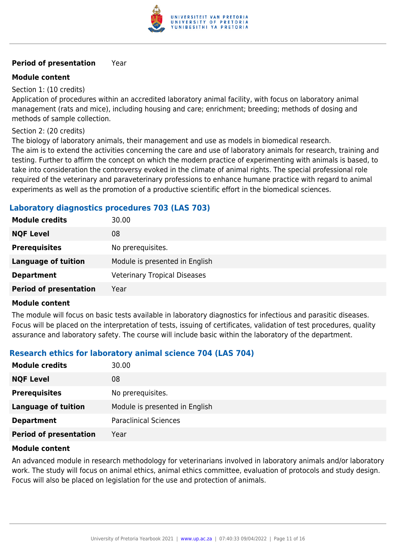

#### **Module content**

Section 1: (10 credits)

Application of procedures within an accredited laboratory animal facility, with focus on laboratory animal management (rats and mice), including housing and care; enrichment; breeding; methods of dosing and methods of sample collection.

Section 2: (20 credits)

The biology of laboratory animals, their management and use as models in biomedical research. The aim is to extend the activities concerning the care and use of laboratory animals for research, training and testing. Further to affirm the concept on which the modern practice of experimenting with animals is based, to take into consideration the controversy evoked in the climate of animal rights. The special professional role required of the veterinary and paraveterinary professions to enhance humane practice with regard to animal experiments as well as the promotion of a productive scientific effort in the biomedical sciences.

## **Laboratory diagnostics procedures 703 (LAS 703)**

| <b>Module credits</b>         | 30.00                               |
|-------------------------------|-------------------------------------|
| <b>NQF Level</b>              | 08                                  |
| <b>Prerequisites</b>          | No prerequisites.                   |
| Language of tuition           | Module is presented in English      |
| <b>Department</b>             | <b>Veterinary Tropical Diseases</b> |
| <b>Period of presentation</b> | Year                                |

#### **Module content**

The module will focus on basic tests available in laboratory diagnostics for infectious and parasitic diseases. Focus will be placed on the interpretation of tests, issuing of certificates, validation of test procedures, quality assurance and laboratory safety. The course will include basic within the laboratory of the department.

## **Research ethics for laboratory animal science 704 (LAS 704)**

| <b>Module credits</b>         | 30.00                          |
|-------------------------------|--------------------------------|
| <b>NQF Level</b>              | 08                             |
| <b>Prerequisites</b>          | No prerequisites.              |
| <b>Language of tuition</b>    | Module is presented in English |
| <b>Department</b>             | <b>Paraclinical Sciences</b>   |
| <b>Period of presentation</b> | Year                           |

#### **Module content**

An advanced module in research methodology for veterinarians involved in laboratory animals and/or laboratory work. The study will focus on animal ethics, animal ethics committee, evaluation of protocols and study design. Focus will also be placed on legislation for the use and protection of animals.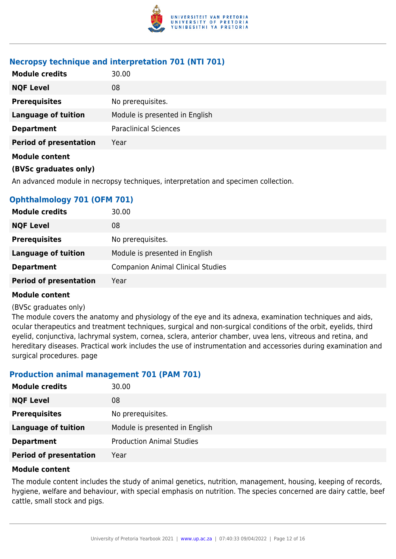

## **Necropsy technique and interpretation 701 (NTI 701)**

| 30.00                          |
|--------------------------------|
| 08                             |
| No prerequisites.              |
| Module is presented in English |
| <b>Paraclinical Sciences</b>   |
| Year                           |
|                                |
|                                |

An advanced module in necropsy techniques, interpretation and specimen collection.

## **Ophthalmology 701 (OFM 701)**

| <b>Module credits</b>         | 30.00                                    |
|-------------------------------|------------------------------------------|
| <b>NQF Level</b>              | 08                                       |
| <b>Prerequisites</b>          | No prerequisites.                        |
| <b>Language of tuition</b>    | Module is presented in English           |
| <b>Department</b>             | <b>Companion Animal Clinical Studies</b> |
| <b>Period of presentation</b> | Year                                     |

#### **Module content**

#### (BVSc graduates only)

The module covers the anatomy and physiology of the eye and its adnexa, examination techniques and aids, ocular therapeutics and treatment techniques, surgical and non-surgical conditions of the orbit, eyelids, third eyelid, conjunctiva, lachrymal system, cornea, sclera, anterior chamber, uvea lens, vitreous and retina, and hereditary diseases. Practical work includes the use of instrumentation and accessories during examination and surgical procedures. page

#### **Production animal management 701 (PAM 701)**

| <b>Module credits</b>         | 30.00                            |
|-------------------------------|----------------------------------|
| <b>NQF Level</b>              | 08                               |
| <b>Prerequisites</b>          | No prerequisites.                |
| <b>Language of tuition</b>    | Module is presented in English   |
| <b>Department</b>             | <b>Production Animal Studies</b> |
| <b>Period of presentation</b> | Year                             |

#### **Module content**

The module content includes the study of animal genetics, nutrition, management, housing, keeping of records, hygiene, welfare and behaviour, with special emphasis on nutrition. The species concerned are dairy cattle, beef cattle, small stock and pigs.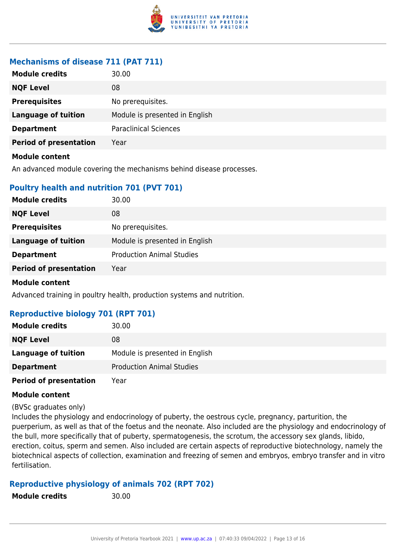

## **Mechanisms of disease 711 (PAT 711)**

| <b>Module credits</b>         | 30.00                          |
|-------------------------------|--------------------------------|
| <b>NQF Level</b>              | 08                             |
| <b>Prerequisites</b>          | No prerequisites.              |
| <b>Language of tuition</b>    | Module is presented in English |
| <b>Department</b>             | <b>Paraclinical Sciences</b>   |
| <b>Period of presentation</b> | Year                           |
| <b>Module content</b>         |                                |

An advanced module covering the mechanisms behind disease processes.

## **Poultry health and nutrition 701 (PVT 701)**

| <b>Module credits</b>         | 30.00                            |
|-------------------------------|----------------------------------|
| <b>NQF Level</b>              | 08                               |
| <b>Prerequisites</b>          | No prerequisites.                |
| <b>Language of tuition</b>    | Module is presented in English   |
| <b>Department</b>             | <b>Production Animal Studies</b> |
| <b>Period of presentation</b> | Year                             |
|                               |                                  |

#### **Module content**

Advanced training in poultry health, production systems and nutrition.

## **Reproductive biology 701 (RPT 701)**

| <b>Module credits</b>         | 30.00                            |
|-------------------------------|----------------------------------|
| <b>NQF Level</b>              | 08                               |
| Language of tuition           | Module is presented in English   |
| <b>Department</b>             | <b>Production Animal Studies</b> |
| <b>Period of presentation</b> | Year                             |

#### **Module content**

(BVSc graduates only)

Includes the physiology and endocrinology of puberty, the oestrous cycle, pregnancy, parturition, the puerperium, as well as that of the foetus and the neonate. Also included are the physiology and endocrinology of the bull, more specifically that of puberty, spermatogenesis, the scrotum, the accessory sex glands, libido, erection, coitus, sperm and semen. Also included are certain aspects of reproductive biotechnology, namely the biotechnical aspects of collection, examination and freezing of semen and embryos, embryo transfer and in vitro fertilisation.

## **Reproductive physiology of animals 702 (RPT 702)**

**Module credits** 30.00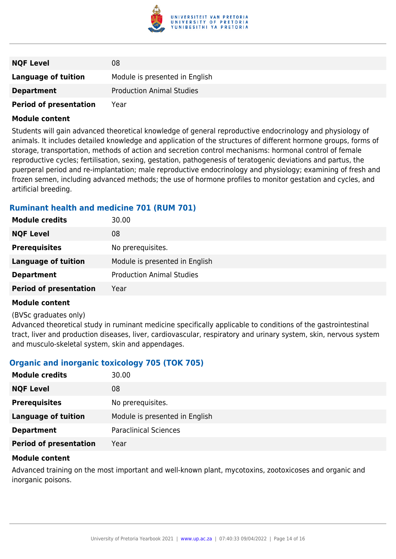

| <b>NQF Level</b>              | 08                               |
|-------------------------------|----------------------------------|
| Language of tuition           | Module is presented in English   |
| <b>Department</b>             | <b>Production Animal Studies</b> |
| <b>Period of presentation</b> | Year                             |

Students will gain advanced theoretical knowledge of general reproductive endocrinology and physiology of animals. It includes detailed knowledge and application of the structures of different hormone groups, forms of storage, transportation, methods of action and secretion control mechanisms: hormonal control of female reproductive cycles; fertilisation, sexing, gestation, pathogenesis of teratogenic deviations and partus, the puerperal period and re-implantation; male reproductive endocrinology and physiology; examining of fresh and frozen semen, including advanced methods; the use of hormone profiles to monitor gestation and cycles, and artificial breeding.

## **Ruminant health and medicine 701 (RUM 701)**

| <b>Module credits</b>         | 30.00                            |
|-------------------------------|----------------------------------|
| <b>NQF Level</b>              | 08                               |
| <b>Prerequisites</b>          | No prerequisites.                |
| <b>Language of tuition</b>    | Module is presented in English   |
| <b>Department</b>             | <b>Production Animal Studies</b> |
| <b>Period of presentation</b> | Year                             |

#### **Module content**

#### (BVSc graduates only)

Advanced theoretical study in ruminant medicine specifically applicable to conditions of the gastrointestinal tract, liver and production diseases, liver, cardiovascular, respiratory and urinary system, skin, nervous system and musculo-skeletal system, skin and appendages.

#### **Organic and inorganic toxicology 705 (TOK 705)**

| <b>Module credits</b>         | 30.00                          |
|-------------------------------|--------------------------------|
| <b>NQF Level</b>              | 08                             |
| <b>Prerequisites</b>          | No prerequisites.              |
| <b>Language of tuition</b>    | Module is presented in English |
| <b>Department</b>             | <b>Paraclinical Sciences</b>   |
| <b>Period of presentation</b> | Year                           |

#### **Module content**

Advanced training on the most important and well-known plant, mycotoxins, zootoxicoses and organic and inorganic poisons.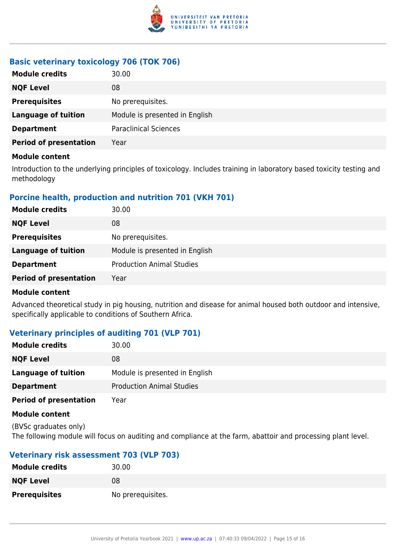

## **Basic veterinary toxicology 706 (TOK 706)**

| <b>Module credits</b>         | 30.00                          |
|-------------------------------|--------------------------------|
| <b>NQF Level</b>              | 08                             |
| <b>Prerequisites</b>          | No prerequisites.              |
| <b>Language of tuition</b>    | Module is presented in English |
| <b>Department</b>             | <b>Paraclinical Sciences</b>   |
| <b>Period of presentation</b> | Year                           |

#### **Module content**

Introduction to the underlying principles of toxicology. Includes training in laboratory based toxicity testing and methodology

## **Porcine health, production and nutrition 701 (VKH 701)**

| <b>Module credits</b>         | 30.00                            |
|-------------------------------|----------------------------------|
| <b>NQF Level</b>              | 08                               |
| <b>Prerequisites</b>          | No prerequisites.                |
| <b>Language of tuition</b>    | Module is presented in English   |
| <b>Department</b>             | <b>Production Animal Studies</b> |
| <b>Period of presentation</b> | Year                             |

#### **Module content**

Advanced theoretical study in pig housing, nutrition and disease for animal housed both outdoor and intensive, specifically applicable to conditions of Southern Africa.

## **Veterinary principles of auditing 701 (VLP 701)**

| <b>Module credits</b>         | 30.00                            |
|-------------------------------|----------------------------------|
| <b>NQF Level</b>              | 08                               |
| Language of tuition           | Module is presented in English   |
| <b>Department</b>             | <b>Production Animal Studies</b> |
| <b>Period of presentation</b> | Year                             |

#### **Module content**

(BVSc graduates only) The following module will focus on auditing and compliance at the farm, abattoir and processing plant level.

## **Veterinary risk assessment 703 (VLP 703)**

| <b>Module credits</b> | 30.00             |
|-----------------------|-------------------|
| <b>NQF Level</b>      | 08                |
| <b>Prerequisites</b>  | No prerequisites. |